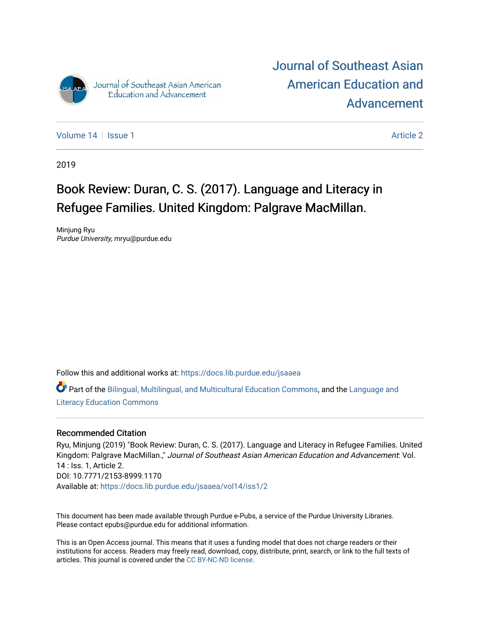

[Journal of Southeast Asian](https://docs.lib.purdue.edu/jsaaea)  [American Education and](https://docs.lib.purdue.edu/jsaaea)  [Advancement](https://docs.lib.purdue.edu/jsaaea) 

[Volume 14](https://docs.lib.purdue.edu/jsaaea/vol14) Suitsue 1 [Article 2](https://docs.lib.purdue.edu/jsaaea/vol14/iss1/2) Article 2 Article 2 Article 2 Article 2

2019

## Book Review: Duran, C. S. (2017). Language and Literacy in Refugee Families. United Kingdom: Palgrave MacMillan.

Minjung Ryu Purdue University, mryu@purdue.edu

Follow this and additional works at: [https://docs.lib.purdue.edu/jsaaea](https://docs.lib.purdue.edu/jsaaea?utm_source=docs.lib.purdue.edu%2Fjsaaea%2Fvol14%2Fiss1%2F2&utm_medium=PDF&utm_campaign=PDFCoverPages) 

Part of the [Bilingual, Multilingual, and Multicultural Education Commons,](http://network.bepress.com/hgg/discipline/785?utm_source=docs.lib.purdue.edu%2Fjsaaea%2Fvol14%2Fiss1%2F2&utm_medium=PDF&utm_campaign=PDFCoverPages) and the [Language and](http://network.bepress.com/hgg/discipline/1380?utm_source=docs.lib.purdue.edu%2Fjsaaea%2Fvol14%2Fiss1%2F2&utm_medium=PDF&utm_campaign=PDFCoverPages)  [Literacy Education Commons](http://network.bepress.com/hgg/discipline/1380?utm_source=docs.lib.purdue.edu%2Fjsaaea%2Fvol14%2Fiss1%2F2&utm_medium=PDF&utm_campaign=PDFCoverPages)

#### Recommended Citation

Ryu, Minjung (2019) "Book Review: Duran, C. S. (2017). Language and Literacy in Refugee Families. United Kingdom: Palgrave MacMillan.," Journal of Southeast Asian American Education and Advancement: Vol. 14 : Iss. 1, Article 2. DOI: 10.7771/2153-8999.1170 Available at: [https://docs.lib.purdue.edu/jsaaea/vol14/iss1/2](https://docs.lib.purdue.edu/jsaaea/vol14/iss1/2?utm_source=docs.lib.purdue.edu%2Fjsaaea%2Fvol14%2Fiss1%2F2&utm_medium=PDF&utm_campaign=PDFCoverPages) 

This document has been made available through Purdue e-Pubs, a service of the Purdue University Libraries. Please contact epubs@purdue.edu for additional information.

This is an Open Access journal. This means that it uses a funding model that does not charge readers or their institutions for access. Readers may freely read, download, copy, distribute, print, search, or link to the full texts of articles. This journal is covered under the [CC BY-NC-ND license](https://creativecommons.org/licenses/by-nc-nd/4.0/).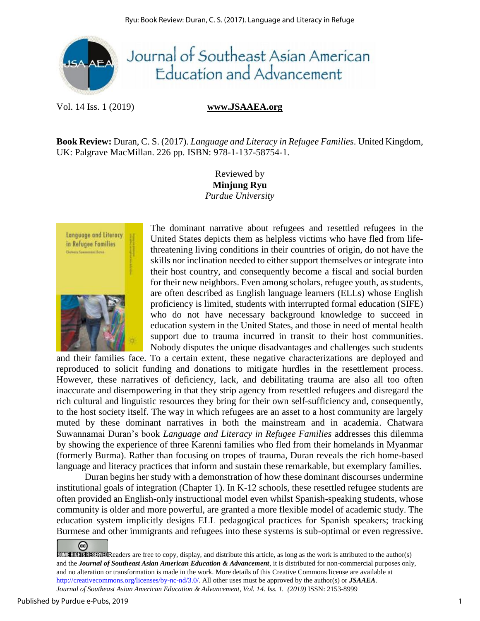

## Journal of Southeast Asian American Education and Advancement

Vol. 14 Iss. 1 (2019) **www.JSAAEA.org**

**Book Review:** Duran, C. S. (2017). *Language and Literacy in Refugee Families*. United Kingdom, UK: Palgrave MacMillan. 226 pp. ISBN: 978-1-137-58754-1.

> Reviewed by **Minjung Ryu** *Purdue University*



The dominant narrative about refugees and resettled refugees in the United States depicts them as helpless victims who have fled from lifethreatening living conditions in their countries of origin, do not have the skills nor inclination needed to either support themselves or integrate into their host country, and consequently become a fiscal and social burden for their new neighbors. Even among scholars, refugee youth, as students, are often described as English language learners (ELLs) whose English proficiency is limited, students with interrupted formal education (SIFE) who do not have necessary background knowledge to succeed in education system in the United States, and those in need of mental health support due to trauma incurred in transit to their host communities. Nobody disputes the unique disadvantages and challenges such students

and their families face. To a certain extent, these negative characterizations are deployed and reproduced to solicit funding and donations to mitigate hurdles in the resettlement process. However, these narratives of deficiency, lack, and debilitating trauma are also all too often inaccurate and disempowering in that they strip agency from resettled refugees and disregard the rich cultural and linguistic resources they bring for their own self-sufficiency and, consequently, to the host society itself. The way in which refugees are an asset to a host community are largely muted by these dominant narratives in both the mainstream and in academia. Chatwara Suwannamai Duran's book *Language and Literacy in Refugee Families* addresses this dilemma by showing the experience of three Karenni families who fled from their homelands in Myanmar (formerly Burma). Rather than focusing on tropes of trauma, Duran reveals the rich home-based language and literacy practices that inform and sustain these remarkable, but exemplary families.

Duran begins her study with a demonstration of how these dominant discourses undermine institutional goals of integration (Chapter 1). In K-12 schools, these resettled refugee students are often provided an English-only instructional model even whilst Spanish-speaking students, whose community is older and more powerful, are granted a more flexible model of academic study. The education system implicitly designs ELL pedagogical practices for Spanish speakers; tracking Burmese and other immigrants and refugees into these systems is sub-optimal or even regressive.

<sup>☺</sup> SOME RIGHTS RESERVED Readers are free to copy, display, and distribute this article, as long as the work is attributed to the author(s) and the *Journal of Southeast Asian American Education & Advancement*, it is distributed for non-commercial purposes only, and no alteration or transformation is made in the work. More details of this Creative Commons license are available at http://creativecommons.org/licenses/by-nc-nd/3.0/. All other uses must be approved by the author(s) or *JSAAEA*. *Journal of Southeast Asian American Education & Advancement, Vol. 14. Iss. 1. (2019)* ISSN: 2153-8999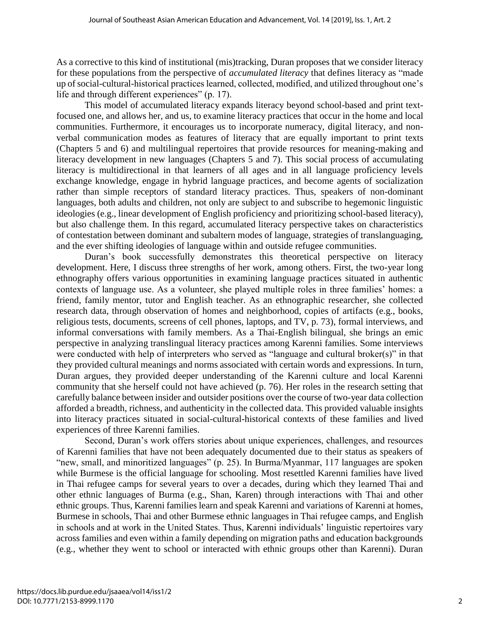As a corrective to this kind of institutional (mis)tracking, Duran proposes that we consider literacy for these populations from the perspective of *accumulated literacy* that defines literacy as "made up of social-cultural-historical practices learned, collected, modified, and utilized throughout one's life and through different experiences" (p. 17).

This model of accumulated literacy expands literacy beyond school-based and print textfocused one, and allows her, and us, to examine literacy practices that occur in the home and local communities. Furthermore, it encourages us to incorporate numeracy, digital literacy, and nonverbal communication modes as features of literacy that are equally important to print texts (Chapters 5 and 6) and multilingual repertoires that provide resources for meaning-making and literacy development in new languages (Chapters 5 and 7). This social process of accumulating literacy is multidirectional in that learners of all ages and in all language proficiency levels exchange knowledge, engage in hybrid language practices, and become agents of socialization rather than simple receptors of standard literacy practices. Thus, speakers of non-dominant languages, both adults and children, not only are subject to and subscribe to hegemonic linguistic ideologies (e.g., linear development of English proficiency and prioritizing school-based literacy), but also challenge them. In this regard, accumulated literacy perspective takes on characteristics of contestation between dominant and subaltern modes of language, strategies of translanguaging, and the ever shifting ideologies of language within and outside refugee communities.

Duran's book successfully demonstrates this theoretical perspective on literacy development. Here, I discuss three strengths of her work, among others. First, the two-year long ethnography offers various opportunities in examining language practices situated in authentic contexts of language use. As a volunteer, she played multiple roles in three families' homes: a friend, family mentor, tutor and English teacher. As an ethnographic researcher, she collected research data, through observation of homes and neighborhood, copies of artifacts (e.g., books, religious tests, documents, screens of cell phones, laptops, and TV, p. 73), formal interviews, and informal conversations with family members. As a Thai-English bilingual, she brings an emic perspective in analyzing translingual literacy practices among Karenni families. Some interviews were conducted with help of interpreters who served as "language and cultural broker(s)" in that they provided cultural meanings and norms associated with certain words and expressions. In turn, Duran argues, they provided deeper understanding of the Karenni culture and local Karenni community that she herself could not have achieved (p. 76). Her roles in the research setting that carefully balance between insider and outsider positions over the course of two-year data collection afforded a breadth, richness, and authenticity in the collected data. This provided valuable insights into literacy practices situated in social-cultural-historical contexts of these families and lived experiences of three Karenni families.

Second, Duran's work offers stories about unique experiences, challenges, and resources of Karenni families that have not been adequately documented due to their status as speakers of "new, small, and minoritized languages" (p. 25). In Burma/Myanmar, 117 languages are spoken while Burmese is the official language for schooling. Most resettled Karenni families have lived in Thai refugee camps for several years to over a decades, during which they learned Thai and other ethnic languages of Burma (e.g., Shan, Karen) through interactions with Thai and other ethnic groups. Thus, Karenni families learn and speak Karenni and variations of Karenni at homes, Burmese in schools, Thai and other Burmese ethnic languages in Thai refugee camps, and English in schools and at work in the United States. Thus, Karenni individuals' linguistic repertoires vary across families and even within a family depending on migration paths and education backgrounds (e.g., whether they went to school or interacted with ethnic groups other than Karenni). Duran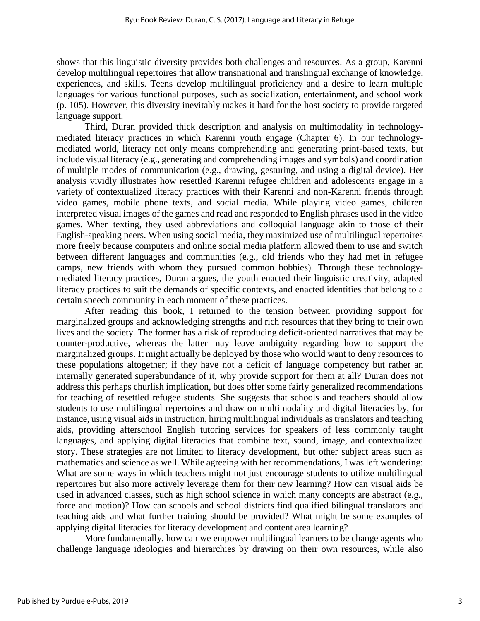shows that this linguistic diversity provides both challenges and resources. As a group, Karenni develop multilingual repertoires that allow transnational and translingual exchange of knowledge, experiences, and skills. Teens develop multilingual proficiency and a desire to learn multiple languages for various functional purposes, such as socialization, entertainment, and school work (p. 105). However, this diversity inevitably makes it hard for the host society to provide targeted language support.

Third, Duran provided thick description and analysis on multimodality in technologymediated literacy practices in which Karenni youth engage (Chapter 6). In our technologymediated world, literacy not only means comprehending and generating print-based texts, but include visual literacy (e.g., generating and comprehending images and symbols) and coordination of multiple modes of communication (e.g., drawing, gesturing, and using a digital device). Her analysis vividly illustrates how resettled Karenni refugee children and adolescents engage in a variety of contextualized literacy practices with their Karenni and non-Karenni friends through video games, mobile phone texts, and social media. While playing video games, children interpreted visual images of the games and read and responded to English phrases used in the video games. When texting, they used abbreviations and colloquial language akin to those of their English-speaking peers. When using social media, they maximized use of multilingual repertoires more freely because computers and online social media platform allowed them to use and switch between different languages and communities (e.g., old friends who they had met in refugee camps, new friends with whom they pursued common hobbies). Through these technologymediated literacy practices, Duran argues, the youth enacted their linguistic creativity, adapted literacy practices to suit the demands of specific contexts, and enacted identities that belong to a certain speech community in each moment of these practices.

After reading this book, I returned to the tension between providing support for marginalized groups and acknowledging strengths and rich resources that they bring to their own lives and the society. The former has a risk of reproducing deficit-oriented narratives that may be counter-productive, whereas the latter may leave ambiguity regarding how to support the marginalized groups. It might actually be deployed by those who would want to deny resources to these populations altogether; if they have not a deficit of language competency but rather an internally generated superabundance of it, why provide support for them at all? Duran does not address this perhaps churlish implication, but does offer some fairly generalized recommendations for teaching of resettled refugee students. She suggests that schools and teachers should allow students to use multilingual repertoires and draw on multimodality and digital literacies by, for instance, using visual aids in instruction, hiring multilingual individuals as translators and teaching aids, providing afterschool English tutoring services for speakers of less commonly taught languages, and applying digital literacies that combine text, sound, image, and contextualized story. These strategies are not limited to literacy development, but other subject areas such as mathematics and science as well. While agreeing with her recommendations, I was left wondering: What are some ways in which teachers might not just encourage students to utilize multilingual repertoires but also more actively leverage them for their new learning? How can visual aids be used in advanced classes, such as high school science in which many concepts are abstract (e.g., force and motion)? How can schools and school districts find qualified bilingual translators and teaching aids and what further training should be provided? What might be some examples of applying digital literacies for literacy development and content area learning?

More fundamentally, how can we empower multilingual learners to be change agents who challenge language ideologies and hierarchies by drawing on their own resources, while also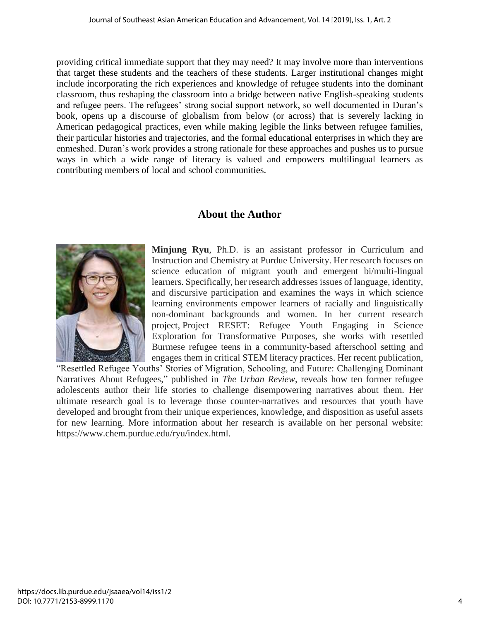providing critical immediate support that they may need? It may involve more than interventions that target these students and the teachers of these students. Larger institutional changes might include incorporating the rich experiences and knowledge of refugee students into the dominant classroom, thus reshaping the classroom into a bridge between native English-speaking students and refugee peers. The refugees' strong social support network, so well documented in Duran's book, opens up a discourse of globalism from below (or across) that is severely lacking in American pedagogical practices, even while making legible the links between refugee families, their particular histories and trajectories, and the formal educational enterprises in which they are enmeshed. Duran's work provides a strong rationale for these approaches and pushes us to pursue ways in which a wide range of literacy is valued and empowers multilingual learners as contributing members of local and school communities.

### **About the Author**



**Minjung Ryu**, Ph.D. is an assistant professor in Curriculum and Instruction and Chemistry at Purdue University. Her research focuses on science education of migrant youth and emergent bi/multi-lingual learners. Specifically, her research addresses issues of language, identity, and discursive participation and examines the ways in which science learning environments empower learners of racially and linguistically non-dominant backgrounds and women. In her current research project, Project RESET: Refugee Youth Engaging in Science Exploration for Transformative Purposes, she works with resettled Burmese refugee teens in a community-based afterschool setting and engages them in critical STEM literacy practices. Her recent publication,

"Resettled Refugee Youths' Stories of Migration, Schooling, and Future: Challenging Dominant Narratives About Refugees," published in *The Urban Review*, reveals how ten former refugee adolescents author their life stories to challenge disempowering narratives about them. Her ultimate research goal is to leverage those counter-narratives and resources that youth have developed and brought from their unique experiences, knowledge, and disposition as useful assets for new learning. More information about her research is available on her personal website: https://www.chem.purdue.edu/ryu/index.html.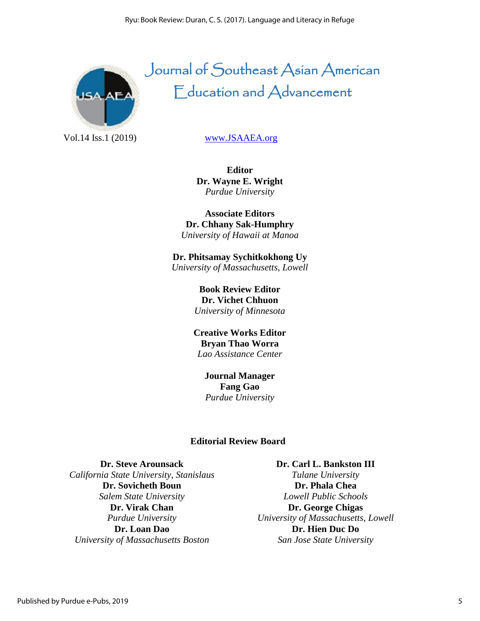

# Journal of Southeast Asian American Education and Advancement

Vol.14 Iss.1 (2019) [www.JSAAEA.org](http://www.jsaaea.org/)

**Editor Dr. Wayne E. Wright** *Purdue University*

**Associate Editors Dr. Chhany Sak-Humphry** *University of Hawaii at Manoa*

**Dr. Phitsamay Sychitkokhong Uy** *University of Massachusetts, Lowell*

> **Book Review Editor Dr. Vichet Chhuon** *University of Minnesota*

**Creative Works Editor Bryan Thao Worra** *Lao Assistance Center*

> **Journal Manager Fang Gao** *Purdue University*

#### **Editorial Review Board**

**Dr. Steve Arounsack** *California State University, Stanislaus* **Dr. Sovicheth Boun** *Salem State University* **Dr. Virak Chan** *Purdue University* **Dr. Loan Dao** *University of Massachusetts Boston*

**Dr. Carl L. Bankston III** *Tulane University* **Dr. Phala Chea** *Lowell Public Schools* **Dr. George Chigas** *University of Massachusetts, Lowell* **Dr. Hien Duc Do** *San Jose State University*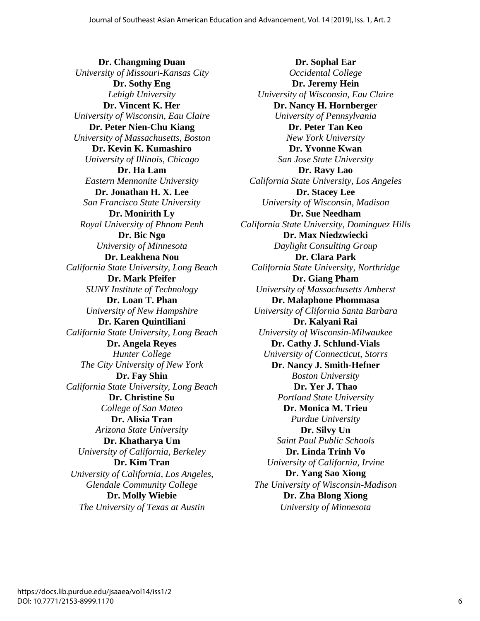**Dr. Changming Duan** *University of Missouri-Kansas City* **Dr. Sothy Eng** *Lehigh University* **Dr. Vincent K. Her** *University of Wisconsin, Eau Claire* **Dr. Peter Nien-Chu Kiang** *University of Massachusetts, Boston* **Dr. Kevin K. Kumashiro** *University of Illinois, Chicago* **Dr. Ha Lam** *Eastern Mennonite University* **Dr. Jonathan H. X. Lee** *San Francisco State University* **Dr. Monirith Ly** *Royal University of Phnom Penh* **Dr. Bic Ngo** *University of Minnesota* **Dr. Leakhena Nou** *California State University, Long Beach* **Dr. Mark Pfeifer** *SUNY Institute of Technology* **Dr. Loan T. Phan** *University of New Hampshire* **Dr. Karen Quintiliani** *California State University, Long Beach* **Dr. Angela Reyes** *Hunter College The City University of New York*  **Dr. Fay Shin** *California State University, Long Beach* **Dr. Christine Su** *College of San Mateo* **Dr. Alisia Tran** *Arizona State University* **Dr. Khatharya Um** *University of California, Berkeley* **Dr. Kim Tran** *University of California, Los Angeles, Glendale Community College* **Dr. Molly Wiebie** *The University of Texas at Austin*

**Dr. Sophal Ear** *Occidental College* **Dr. Jeremy Hein** *University of Wisconsin, Eau Claire* **Dr. Nancy H. Hornberger** *University of Pennsylvania* **Dr. Peter Tan Keo** *New York University* **Dr. Yvonne Kwan** *San Jose State University* **Dr. Ravy Lao** *California State University, Los Angeles* **Dr. Stacey Lee** *University of Wisconsin, Madison* **Dr. Sue Needham** *California State University, Dominguez Hills* **Dr. Max Niedzwiecki** *Daylight Consulting Group* **Dr. Clara Park** *California State University, Northridge* **Dr. Giang Pham** *University of Massachusetts Amherst* **Dr. Malaphone Phommasa** *University of Clifornia Santa Barbara* **Dr. Kalyani Rai** *University of Wisconsin-Milwaukee* **Dr. Cathy J. Schlund-Vials** *University of Connecticut, Storrs* **Dr. Nancy J. Smith-Hefner** *Boston University* **Dr. Yer J. Thao** *Portland State University* **Dr. Monica M. Trieu** *Purdue University* **Dr. Silvy Un** *Saint Paul Public Schools* **Dr. Linda Trinh Vo** *University of California, Irvine* **Dr. Yang Sao Xiong** *The University of Wisconsin-Madison* **Dr. Zha Blong Xiong** *University of Minnesota*